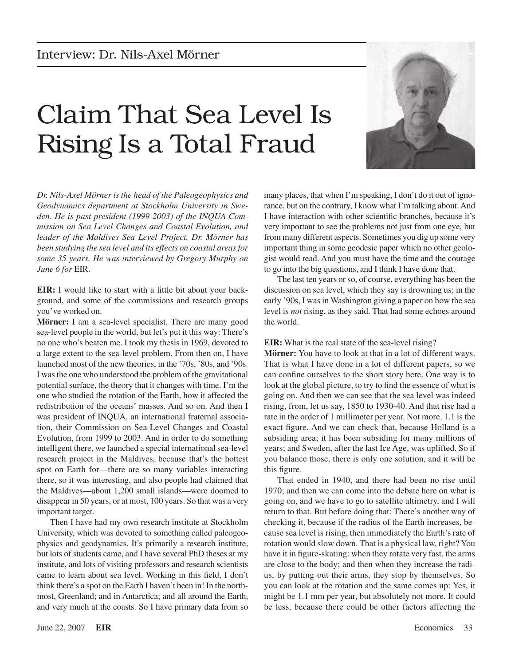## Claim That Sea Level Is Rising Is a Total Fraud



*Dr. Nils-Axel Mörner is the head of the Paleogeophysics and Geodynamics department at Stockholm University in Sweden. He is past president (1999-2003) of the INQUA Commission on Sea Level Changes and Coastal Evolution, and leader of the Maldives Sea Level Project. Dr. Mörner has been studying the sea level and its effects on coastal areas for some 35 years. He was interviewed by Gregory Murphy on June 6 for* EIR.

**EIR:** I would like to start with a little bit about your background, and some of the commissions and research groups you've worked on.

**Mörner:** I am a sea-level specialist. There are many good sea-level people in the world, but let's put it this way: There's no one who's beaten me. I took my thesis in 1969, devoted to a large extent to the sea-level problem. From then on, I have launched most of the new theories, in the '70s, '80s, and '90s. I wasthe one who understood the problem of the gravitational potential surface, the theory that it changes with time. I'm the one who studied the rotation of the Earth, how it affected the redistribution of the oceans' masses. And so on. And then I was president of INQUA, an international fraternal association, their Commission on Sea-Level Changes and Coastal Evolution, from 1999 to 2003. And in order to do something intelligent there, we launched a special international sea-level research project in the Maldives, because that's the hottest spot on Earth for—there are so many variables interacting there, so it was interesting, and also people had claimed that the Maldives—about 1,200 small islands—were doomed to disappear in 50 years, or at most, 100 years. So that was a very important target.

Then I have had my own research institute at Stockholm University, which was devoted to something called paleogeophysics and geodynamics. It's primarily a research institute, but lots of students came, and I have several PhD theses at my institute, and lots of visiting professors and research scientists came to learn about sea level. Working in this field, I don't think there's a spot on the Earth I haven't been in! In the northmost, Greenland; and in Antarctica; and all around the Earth, and very much at the coasts. So I have primary data from so

many places, that when I'm speaking, I don't do it out of ignorance, but on the contrary, I know what I'm talking about.And I have interaction with other scientific branches, because it's very important to see the problems not just from one eye, but from many different aspects. Sometimes you dig up some very important thing in some geodesic paper which no other geologist would read. And you must have the time and the courage to go into the big questions, and I think I have done that.

The last ten years or so, of course, everything has been the discussion on sea level, which they say is drowning us; in the early '90s, I was in Washington giving a paper on how the sea level is *not* rising, as they said. That had some echoes around the world.

## **EIR:** What is the real state of the sea-level rising?

**Mörner:** You have to look at that in a lot of different ways. That is what I have done in a lot of different papers, so we can confine ourselves to the short story here. One way is to look at the global picture, to try to find the essence of what is going on. And then we can see that the sea level was indeed rising, from, let us say, 1850 to 1930-40. And that rise had a rate in the order of 1 millimeter per year. Not more. 1.1 is the exact figure. And we can check that, because Holland is a subsiding area; it has been subsiding for many millions of years; and Sweden, after the last Ice Age, was uplifted. So if you balance those, there is only one solution, and it will be this figure.

That ended in 1940, and there had been no rise until 1970; and then we can come into the debate here on what is going on, and we have to go to satellite altimetry, and I will return to that. But before doing that: There's another way of checking it, because if the radius of the Earth increases, because sea level is rising, then immediately the Earth's rate of rotation would slow down. That is a physical law, right? You have it in figure-skating: when they rotate very fast, the arms are close to the body; and then when they increase the radius, by putting out their arms, they stop by themselves. So you can look at the rotation and the same comes up: Yes, it might be 1.1 mm per year, but absolutely not more. It could be less, because there could be other factors affecting the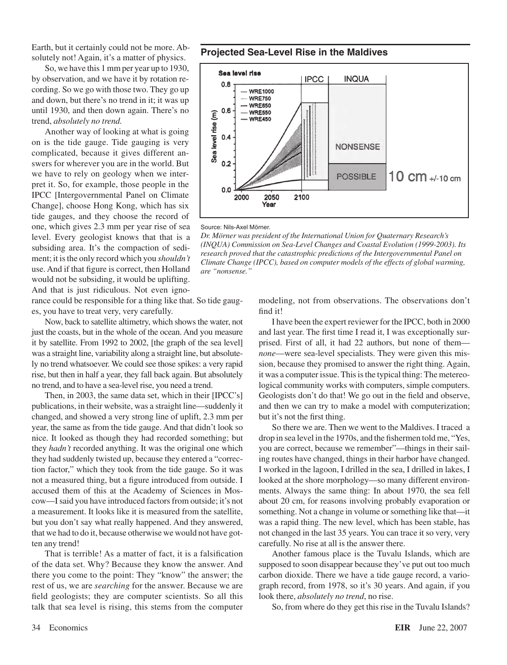Earth, but it certainly could not be more. Absolutely not! Again, it's a matter of physics.

So, we have this 1 mm per year up to 1930, by observation, and we have it by rotation recording. So we go with those two. They go up and down, but there's no trend in it; it was up until 1930, and then down again. There's no trend, *absolutely no trend.*

Another way of looking at what is going on is the tide gauge. Tide gauging is very complicated, because it gives different answers for wherever you are in the world. But we have to rely on geology when we interpret it. So, for example, those people in the IPCC [Intergovernmental Panel on Climate Change], choose Hong Kong, which has six tide gauges, and they choose the record of one, which gives 2.3 mm per year rise of sea level. Every geologist knows that that is a subsiding area. It's the compaction of sediment; it is the only record which you *shouldn't* use. And if that figure is correct, then Holland would not be subsiding, it would be uplifting. And that is just ridiculous. Not even igno-

rance could be responsible for a thing like that. So tide gauges, you have to treat very, very carefully.

Now, back to satellite altimetry, which shows the water, not just the coasts, but in the whole of the ocean. And you measure it by satellite. From 1992 to 2002, [the graph of the sea level] was a straight line, variability along a straight line, but absolutely no trend whatsoever. We could see those spikes: a very rapid rise, but then in half a year, they fall back again. But absolutely no trend, and to have a sea-level rise, you need a trend.

Then, in 2003, the same data set, which in their [IPCC's] publications, in their website, was a straight line—suddenly it changed, and showed a very strong line of uplift, 2.3 mm per year, the same as from the tide gauge. And that didn't look so nice. It looked as though they had recorded something; but they *hadn't* recorded anything. It was the original one which they had suddenly twisted up, because they entered a "correction factor," which they took from the tide gauge. So it was not a measured thing, but a figure introduced from outside. I accused them of this at the Academy of Sciences in Moscow—I said you have introduced factors from outside; it's not a measurement. It looks like it is measured from the satellite, but you don't say what really happened. And they answered, that we had to do it, because otherwise we would not have gotten any trend!

That is terrible! As a matter of fact, it is a falsification of the data set. Why? Because they know the answer. And there you come to the point: They "know" the answer; the rest of us, we are *searching* for the answer. Because we are field geologists; they are computer scientists. So all this talk that sea level is rising, this stems from the computer





Source: Nils-Axel Mörner.

*Dr. Mörner was president of the International Union for Quaternary Research's (INQUA) Commission on Sea-Level Changes and Coastal Evolution (1999-2003). Its research proved that the catastrophic predictions of the Intergovernmental Panel on Climate Change (IPCC), based on computer models of the effects of global warming, are "nonsense."*

> modeling, not from observations. The observations don't find it!

> I have been the expert reviewer for the IPCC, both in 2000 and last year. The first time I read it, I was exceptionally surprised. First of all, it had 22 authors, but none of them *none*—were sea-level specialists. They were given this mission, because they promised to answer the right thing. Again, it was a computer issue. This is the typical thing: The metereological community works with computers, simple computers. Geologists don't do that! We go out in the field and observe, and then we can try to make a model with computerization; but it's not the first thing.

> So there we are. Then we went to the Maldives. I traced a drop in sea level in the 1970s, and the fishermen told me, "Yes, you are correct, because we remember"—things in their sailing routes have changed, things in their harbor have changed. I worked in the lagoon, I drilled in the sea, I drilled in lakes, I looked at the shore morphology—so many different environments. Always the same thing: In about 1970, the sea fell about 20 cm, for reasons involving probably evaporation or something. Not a change in volume or something like that—it was a rapid thing. The new level, which has been stable, has not changed in the last 35 years. You can trace it so very, very carefully. No rise at all is the answer there.

> Another famous place is the Tuvalu Islands, which are supposed to soon disappear because they've put out too much carbon dioxide. There we have a tide gauge record, a variograph record, from 1978, so it's 30 years. And again, if you look there, *absolutely no trend*, no rise.

So, from where do they get this rise in the Tuvalu Islands?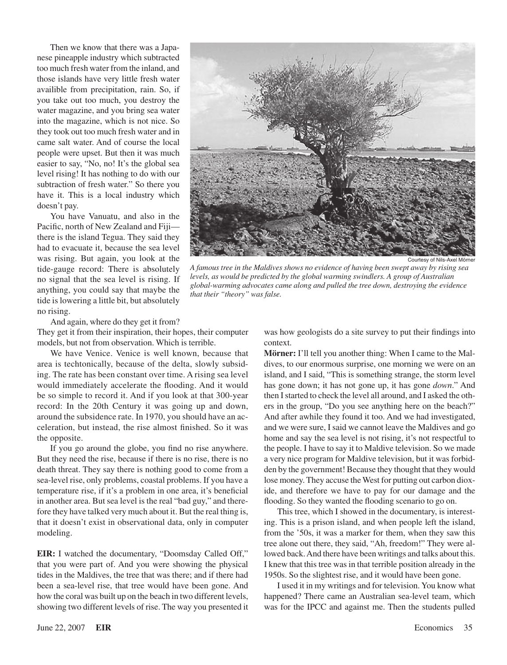Then we know that there was a Japanese pineapple industry which subtracted too much fresh water from the inland, and those islands have very little fresh water availible from precipitation, rain. So, if you take out too much, you destroy the water magazine, and you bring sea water into the magazine, which is not nice. So they took out too much fresh water and in came salt water. And of course the local people were upset. But then it was much easier to say, "No, no! It's the global sea level rising! It has nothing to do with our subtraction of fresh water." So there you have it. This is a local industry which doesn't pay.

You have Vanuatu, and also in the Pacific, north of New Zealand and Fiji there is the island Tegua. They said they had to evacuate it, because the sea level was rising. But again, you look at the tide-gauge record: There is absolutely no signal that the sea level is rising. If anything, you could say that maybe the tide islowering a little bit, but absolutely no rising.

And again, where do they get it from?

They get it from their inspiration, their hopes, their computer models, but not from observation. Which is terrible.

We have Venice. Venice is well known, because that area is techtonically, because of the delta, slowly subsiding. The rate has been constant over time. A rising sea level would immediately accelerate the flooding. And it would be so simple to record it. And if you look at that 300-year record: In the 20th Century it was going up and down, around the subsidence rate. In 1970, you should have an acceleration, but instead, the rise almost finished. So it was the opposite.

If you go around the globe, you find no rise anywhere. But they need the rise, because if there is no rise, there is no death threat. They say there is nothing good to come from a sea-level rise, only problems, coastal problems. If you have a temperature rise, if it's a problem in one area, it's beneficial in another area. But sea level is the real "bad guy," and therefore they have talked very much about it. But the real thing is, that it doesn't exist in observational data, only in computer modeling.

**EIR:** I watched the documentary, "Doomsday Called Off," that you were part of. And you were showing the physical tides in the Maldives, the tree that was there; and if there had been a sea-level rise, that tree would have been gone. And how the coral was built up on the beach in two different levels, showing two different levels of rise. The way you presented it



Courtesy of Nils-Axel Mörner

*A famous tree in the Maldives shows no evidence of having been swept away by rising sea levels, as would be predicted by the global warming swindlers. A group of Australian global-warming advocates came along and pulled the tree down, destroying the evidence that their "theory" was false.*

was how geologists do a site survey to put their findings into context.

**Mörner:** I'll tell you another thing: When I came to the Maldives, to our enormous surprise, one morning we were on an island, and I said, "This is something strange, the storm level has gone down; it has not gone up, it has gone *down*." And then I started to check the level all around, and I asked the others in the group, "Do you see anything here on the beach?" And after awhile they found it too. And we had investigated, and we were sure, I said we cannot leave the Maldives and go home and say the sea level is not rising, it's not respectful to the people. I have to say it to Maldive television. So we made a very nice program for Maldive television, but it was forbidden by the government! Because they thought that they would lose money. They accuse the West for putting out carbon dioxide, and therefore we have to pay for our damage and the flooding. So they wanted the flooding scenario to go on.

This tree, which I showed in the documentary, is interesting. This is a prison island, and when people left the island, from the '50s, it was a marker for them, when they saw this tree alone out there, they said, "Ah, freedom!" They were allowed back.And there have been writings and talks about this. I knew that this tree was in that terrible position already in the 1950s. So the slightest rise, and it would have been gone.

I used it in my writings and for television. You know what happened? There came an Australian sea-level team, which was for the IPCC and against me. Then the students pulled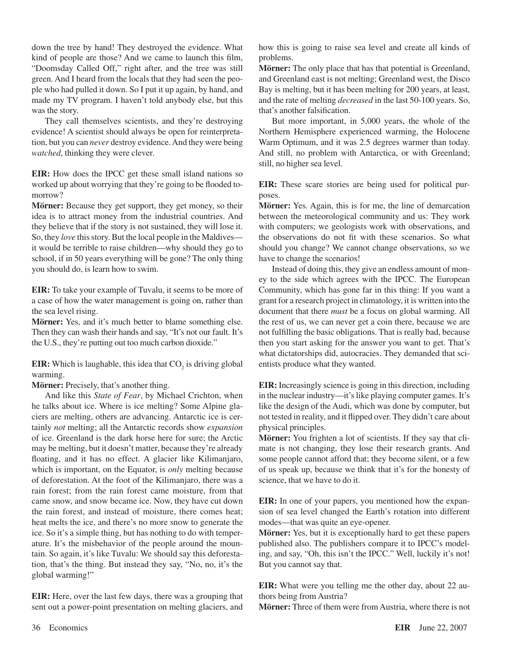down the tree by hand! They destroyed the evidence. What kind of people are those? And we came to launch this film, "Doomsday Called Off," right after, and the tree was still green. And I heard from the locals that they had seen the people who had pulled it down. So I put it up again, by hand, and made my TV program. I haven't told anybody else, but this was the story.

They call themselves scientists, and they're destroying evidence! A scientist should always be open for reinterpretation, but you can *never* destroy evidence.And they were being *watched*, thinking they were clever.

**EIR:** How does the IPCC get these small island nations so worked up about worrying that they're going to be flooded tomorrow?

**Mörner:** Because they get support, they get money, so their idea is to attract money from the industrial countries. And they believe that if the story is not sustained, they will lose it. So, they *love* this story. But the local people in the Maldives it would be terrible to raise children—why should they go to school, if in 50 years everything will be gone? The only thing you should do, is learn how to swim.

**EIR:** To take your example of Tuvalu, it seems to be more of a case of how the water management is going on, rather than the sea level rising.

**Mörner:** Yes, and it's much better to blame something else. Then they can wash their hands and say, "It's not our fault. It's the U.S., they're putting out too much carbon dioxide."

**EIR:** Which is laughable, this idea that CO<sub>2</sub> is driving global warming.

**Mörner:** Precisely, that's another thing.

And like this *State of Fear*, by Michael Crichton, when he talks about ice. Where is ice melting? Some Alpine glaciers are melting, others are advancing. Antarctic ice is certainly *not* melting; all the Antarctic records show *expansion* of ice. Greenland is the dark horse here for sure; the Arctic may be melting, but it doesn't matter, because they're already floating, and it has no effect. A glacier like Kilimanjaro, which is important, on the Equator, is *only* melting because of deforestation. At the foot of the Kilimanjaro, there was a rain forest; from the rain forest came moisture, from that came snow, and snow became ice. Now, they have cut down the rain forest, and instead of moisture, there comes heat; heat melts the ice, and there's no more snow to generate the ice. So it's a simple thing, but has nothing to do with temperature. It's the misbehavior of the people around the mountain. So again, it's like Tuvalu: We should say this deforestation, that's the thing. But instead they say, "No, no, it's the global warming!"

**EIR:** Here, over the last few days, there was a grouping that sent out a power-point presentation on melting glaciers, and how this is going to raise sea level and create all kinds of problems.

**Mörner:** The only place that has that potential is Greenland, and Greenland east is not melting; Greenland west, the Disco Bay is melting, but it has been melting for 200 years, at least, and the rate of melting *decreased* in the last 50-100 years. So, that's another falsification.

But more important, in 5,000 years, the whole of the Northern Hemisphere experienced warming, the Holocene Warm Optimum, and it was 2.5 degrees warmer than today. And still, no problem with Antarctica, or with Greenland; still, no higher sea level.

**EIR:** These scare stories are being used for political purposes.

**Mörner:** Yes. Again, this is for me, the line of demarcation between the meteorological community and us: They work with computers; we geologists work with observations, and the observations do not fit with these scenarios. So what should you change? We cannot change observations, so we have to change the scenarios!

Instead of doing this, they give an endless amount of money to the side which agrees with the IPCC. The European Community, which has gone far in this thing: If you want a grant for a research project in climatology, it is written into the document that there *must* be a focus on global warming. All the rest of us, we can never get a coin there, because we are not fulfilling the basic obligations. That is really bad, because then you start asking for the answer you want to get. That's what dictatorships did, autocracies. They demanded that scientists produce what they wanted.

**EIR:** Increasingly science is going in this direction, including in the nuclear industry—it's like playing computer games. It's like the design of the Audi, which was done by computer, but not tested in reality, and it flipped over. They didn't care about physical principles.

**Mörner:** You frighten a lot of scientists. If they say that climate is not changing, they lose their research grants. And some people cannot afford that; they become silent, or a few of us speak up, because we think that it's for the honesty of science, that we have to do it.

**EIR:** In one of your papers, you mentioned how the expansion of sea level changed the Earth's rotation into different modes—that was quite an eye-opener.

**Mörner:** Yes, but it is exceptionally hard to get these papers published also. The publishers compare it to IPCC's modeling, and say, "Oh, this isn't the IPCC." Well, luckily it's not! But you cannot say that.

**EIR:** What were you telling me the other day, about 22 authors being from Austria?

**Mörner:** Three of them were fromAustria, where there is not